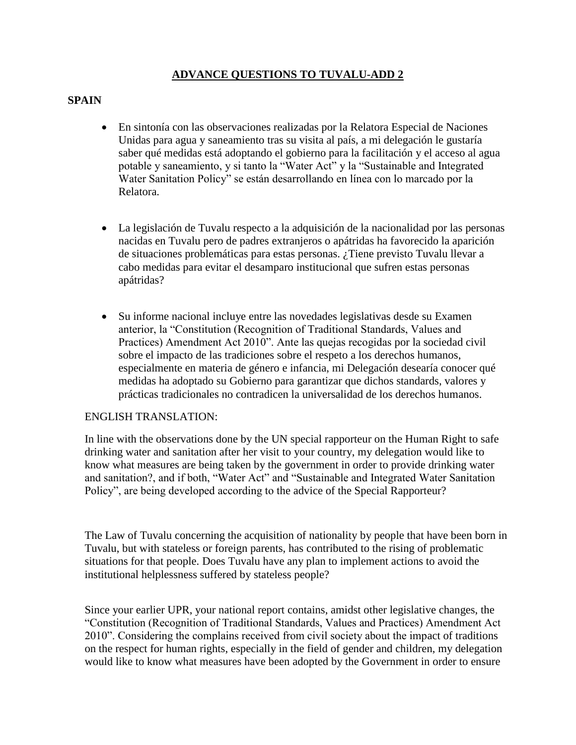## **ADVANCE QUESTIONS TO TUVALU-ADD 2**

## **SPAIN**

- En sintonía con las observaciones realizadas por la Relatora Especial de Naciones Unidas para agua y saneamiento tras su visita al país, a mi delegación le gustaría saber qué medidas está adoptando el gobierno para la facilitación y el acceso al agua potable y saneamiento, y si tanto la "Water Act" y la "Sustainable and Integrated Water Sanitation Policy" se están desarrollando en línea con lo marcado por la Relatora.
- La legislación de Tuvalu respecto a la adquisición de la nacionalidad por las personas nacidas en Tuvalu pero de padres extranjeros o apátridas ha favorecido la aparición de situaciones problemáticas para estas personas. ¿Tiene previsto Tuvalu llevar a cabo medidas para evitar el desamparo institucional que sufren estas personas apátridas?
- Su informe nacional incluye entre las novedades legislativas desde su Examen anterior, la "Constitution (Recognition of Traditional Standards, Values and Practices) Amendment Act 2010". Ante las quejas recogidas por la sociedad civil sobre el impacto de las tradiciones sobre el respeto a los derechos humanos, especialmente en materia de género e infancia, mi Delegación desearía conocer qué medidas ha adoptado su Gobierno para garantizar que dichos standards, valores y prácticas tradicionales no contradicen la universalidad de los derechos humanos.

## ENGLISH TRANSLATION:

In line with the observations done by the UN special rapporteur on the Human Right to safe drinking water and sanitation after her visit to your country, my delegation would like to know what measures are being taken by the government in order to provide drinking water and sanitation?, and if both, "Water Act" and "Sustainable and Integrated Water Sanitation Policy", are being developed according to the advice of the Special Rapporteur?

The Law of Tuvalu concerning the acquisition of nationality by people that have been born in Tuvalu, but with stateless or foreign parents, has contributed to the rising of problematic situations for that people. Does Tuvalu have any plan to implement actions to avoid the institutional helplessness suffered by stateless people?

Since your earlier UPR, your national report contains, amidst other legislative changes, the "Constitution (Recognition of Traditional Standards, Values and Practices) Amendment Act 2010". Considering the complains received from civil society about the impact of traditions on the respect for human rights, especially in the field of gender and children, my delegation would like to know what measures have been adopted by the Government in order to ensure